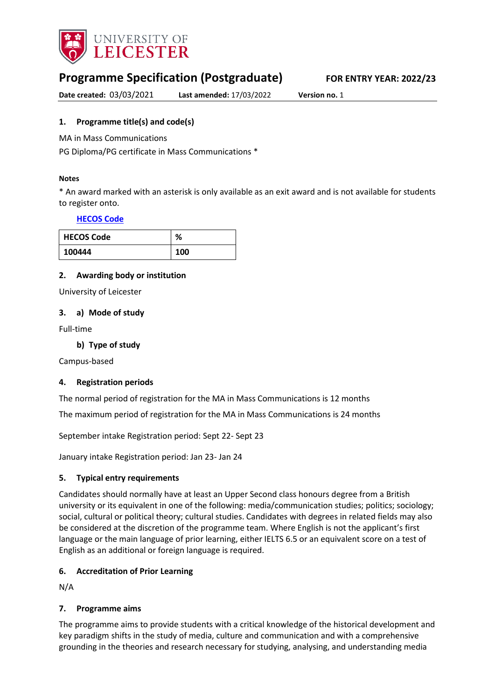

# **Programme Specification (Postgraduate) FOR ENTRY YEAR: 2022/23**

**Date created:** 03/03/2021 **Last amended:** 17/03/2022 **Version no.** 1

## <span id="page-0-0"></span>**1. Programme title(s) and code(s)**

MA in Mass Communications

PG Diploma/PG certificate in Mass Communications \*

#### **Notes**

\* An award marked with an asterisk is only available as an exit award and is not available for students to register onto.

#### **[HECOS Code](https://www.hesa.ac.uk/innovation/hecos)**

| <b>HECOS Code</b> | ℅   |
|-------------------|-----|
| 100444            | 100 |

### **2. Awarding body or institution**

University of Leicester

#### **3. a) Mode of study**

Full-time

**b) Type of study**

Campus-based

### **4. Registration periods**

The normal period of registration for the MA in Mass Communications is 12 months

The maximum period of registration for the MA in Mass Communications is 24 months

September intake Registration period: Sept 22- Sept 23

January intake Registration period: Jan 23- Jan 24

### **5. Typical entry requirements**

Candidates should normally have at least an Upper Second class honours degree from a British university or its equivalent in one of the following: media/communication studies; politics; sociology; social, cultural or political theory; cultural studies. Candidates with degrees in related fields may also be considered at the discretion of the programme team. Where English is not the applicant's first language or the main language of prior learning, either IELTS 6.5 or an equivalent score on a test of English as an additional or foreign language is required.

### **6. Accreditation of Prior Learning**

N/A

### **7. Programme aims**

The programme aims to provide students with a critical knowledge of the historical development and key paradigm shifts in the study of media, culture and communication and with a comprehensive grounding in the theories and research necessary for studying, analysing, and understanding media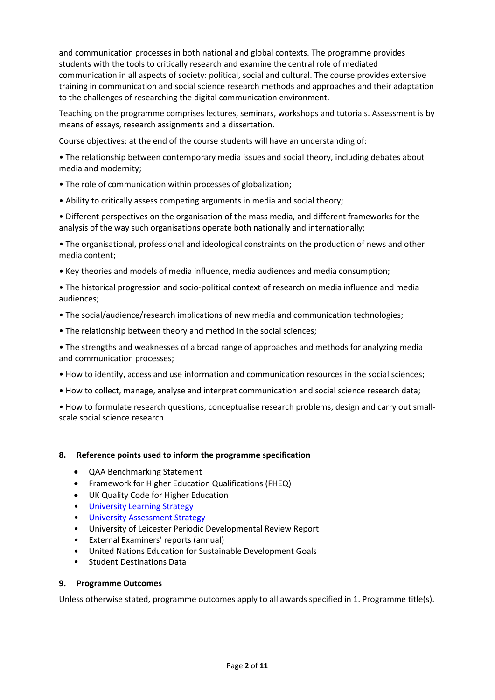and communication processes in both national and global contexts. The programme provides students with the tools to critically research and examine the central role of mediated communication in all aspects of society: political, social and cultural. The course provides extensive training in communication and social science research methods and approaches and their adaptation to the challenges of researching the digital communication environment.

Teaching on the programme comprises lectures, seminars, workshops and tutorials. Assessment is by means of essays, research assignments and a dissertation.

Course objectives: at the end of the course students will have an understanding of:

• The relationship between contemporary media issues and social theory, including debates about media and modernity;

- The role of communication within processes of globalization;
- Ability to critically assess competing arguments in media and social theory;

• Different perspectives on the organisation of the mass media, and different frameworks for the analysis of the way such organisations operate both nationally and internationally;

• The organisational, professional and ideological constraints on the production of news and other media content;

• Key theories and models of media influence, media audiences and media consumption;

• The historical progression and socio-political context of research on media influence and media audiences;

- The social/audience/research implications of new media and communication technologies;
- The relationship between theory and method in the social sciences;

• The strengths and weaknesses of a broad range of approaches and methods for analyzing media and communication processes;

- How to identify, access and use information and communication resources in the social sciences;
- How to collect, manage, analyse and interpret communication and social science research data;

• How to formulate research questions, conceptualise research problems, design and carry out smallscale social science research.

#### **8. Reference points used to inform the programme specification**

- QAA Benchmarking Statement
- Framework for Higher Education Qualifications (FHEQ)
- UK Quality Code for Higher Education
- [University Learning](https://www2.le.ac.uk/offices/sas2/quality/learnteach) Strategy
- [University Assessment Strategy](https://www2.le.ac.uk/offices/sas2/quality/learnteach)
- University of Leicester Periodic Developmental Review Report
- External Examiners' reports (annual)
- United Nations Education for Sustainable Development Goals
- Student Destinations Data

#### **9. Programme Outcomes**

Unless otherwise stated, programme outcomes apply to all awards specified in [1.](#page-0-0) Programme title(s).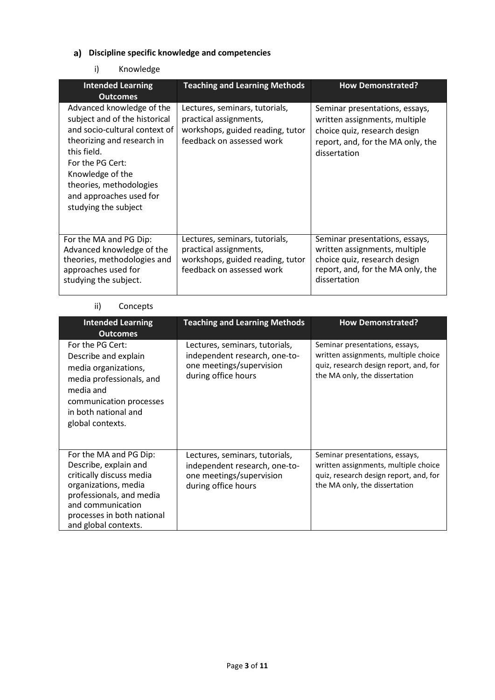# **Discipline specific knowledge and competencies**

## i) Knowledge

| <b>Intended Learning</b><br><b>Outcomes</b>                                                                                                                                                                                                                    | <b>Teaching and Learning Methods</b>                                                                                      | <b>How Demonstrated?</b>                                                                                                                             |
|----------------------------------------------------------------------------------------------------------------------------------------------------------------------------------------------------------------------------------------------------------------|---------------------------------------------------------------------------------------------------------------------------|------------------------------------------------------------------------------------------------------------------------------------------------------|
| Advanced knowledge of the<br>subject and of the historical<br>and socio-cultural context of<br>theorizing and research in<br>this field.<br>For the PG Cert:<br>Knowledge of the<br>theories, methodologies<br>and approaches used for<br>studying the subject | Lectures, seminars, tutorials,<br>practical assignments,<br>workshops, guided reading, tutor<br>feedback on assessed work | Seminar presentations, essays,<br>written assignments, multiple<br>choice quiz, research design<br>report, and, for the MA only, the<br>dissertation |
| For the MA and PG Dip:<br>Advanced knowledge of the<br>theories, methodologies and<br>approaches used for<br>studying the subject.                                                                                                                             | Lectures, seminars, tutorials,<br>practical assignments,<br>workshops, guided reading, tutor<br>feedback on assessed work | Seminar presentations, essays,<br>written assignments, multiple<br>choice quiz, research design<br>report, and, for the MA only, the<br>dissertation |

## ii) Concepts

| <b>Intended Learning</b><br><b>Outcomes</b>                                                                                                                                                                | <b>Teaching and Learning Methods</b>                                                                               | <b>How Demonstrated?</b>                                                                                                                          |
|------------------------------------------------------------------------------------------------------------------------------------------------------------------------------------------------------------|--------------------------------------------------------------------------------------------------------------------|---------------------------------------------------------------------------------------------------------------------------------------------------|
| For the PG Cert:<br>Describe and explain<br>media organizations,<br>media professionals, and<br>media and<br>communication processes<br>in both national and<br>global contexts.                           | Lectures, seminars, tutorials,<br>independent research, one-to-<br>one meetings/supervision<br>during office hours | Seminar presentations, essays,<br>written assignments, multiple choice<br>quiz, research design report, and, for<br>the MA only, the dissertation |
| For the MA and PG Dip:<br>Describe, explain and<br>critically discuss media<br>organizations, media<br>professionals, and media<br>and communication<br>processes in both national<br>and global contexts. | Lectures, seminars, tutorials,<br>independent research, one-to-<br>one meetings/supervision<br>during office hours | Seminar presentations, essays,<br>written assignments, multiple choice<br>quiz, research design report, and, for<br>the MA only, the dissertation |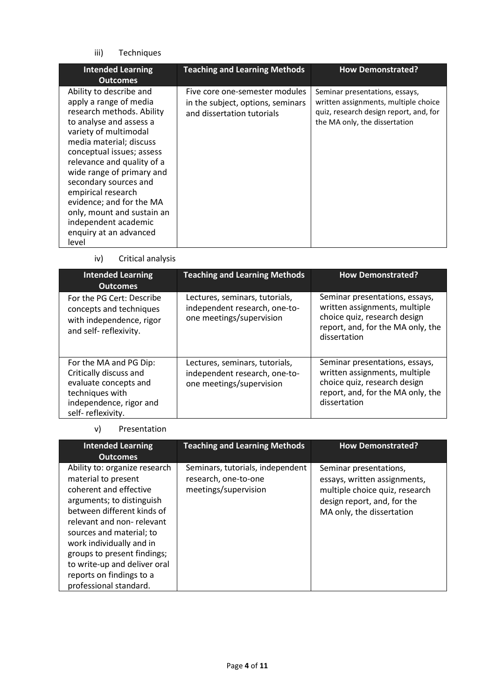## iii) Techniques

| <b>Intended Learning</b><br><b>Outcomes</b>                                                                                                                                                                                                                                                                                                                                                                               | <b>Teaching and Learning Methods</b>                                                              | <b>How Demonstrated?</b>                                                                                                                          |
|---------------------------------------------------------------------------------------------------------------------------------------------------------------------------------------------------------------------------------------------------------------------------------------------------------------------------------------------------------------------------------------------------------------------------|---------------------------------------------------------------------------------------------------|---------------------------------------------------------------------------------------------------------------------------------------------------|
| Ability to describe and<br>apply a range of media<br>research methods. Ability<br>to analyse and assess a<br>variety of multimodal<br>media material; discuss<br>conceptual issues; assess<br>relevance and quality of a<br>wide range of primary and<br>secondary sources and<br>empirical research<br>evidence; and for the MA<br>only, mount and sustain an<br>independent academic<br>enquiry at an advanced<br>level | Five core one-semester modules<br>in the subject, options, seminars<br>and dissertation tutorials | Seminar presentations, essays,<br>written assignments, multiple choice<br>quiz, research design report, and, for<br>the MA only, the dissertation |

iv) Critical analysis

| <b>Intended Learning</b><br><b>Outcomes</b>                                                                                                  | <b>Teaching and Learning Methods</b>                                                        | <b>How Demonstrated?</b>                                                                                                                             |
|----------------------------------------------------------------------------------------------------------------------------------------------|---------------------------------------------------------------------------------------------|------------------------------------------------------------------------------------------------------------------------------------------------------|
| For the PG Cert: Describe<br>concepts and techniques<br>with independence, rigor<br>and self- reflexivity.                                   | Lectures, seminars, tutorials,<br>independent research, one-to-<br>one meetings/supervision | Seminar presentations, essays,<br>written assignments, multiple<br>choice quiz, research design<br>report, and, for the MA only, the<br>dissertation |
| For the MA and PG Dip:<br>Critically discuss and<br>evaluate concepts and<br>techniques with<br>independence, rigor and<br>self-reflexivity. | Lectures, seminars, tutorials,<br>independent research, one-to-<br>one meetings/supervision | Seminar presentations, essays,<br>written assignments, multiple<br>choice quiz, research design<br>report, and, for the MA only, the<br>dissertation |

#### v) Presentation

| <b>Intended Learning</b><br><b>Outcomes</b>                                                                                                                                                                                                                                                                                                         | <b>Teaching and Learning Methods</b>                                             | <b>How Demonstrated?</b>                                                                                                                             |
|-----------------------------------------------------------------------------------------------------------------------------------------------------------------------------------------------------------------------------------------------------------------------------------------------------------------------------------------------------|----------------------------------------------------------------------------------|------------------------------------------------------------------------------------------------------------------------------------------------------|
| Ability to: organize research<br>material to present<br>coherent and effective<br>arguments; to distinguish<br>between different kinds of<br>relevant and non-relevant<br>sources and material; to<br>work individually and in<br>groups to present findings;<br>to write-up and deliver oral<br>reports on findings to a<br>professional standard. | Seminars, tutorials, independent<br>research, one-to-one<br>meetings/supervision | Seminar presentations,<br>essays, written assignments,<br>multiple choice quiz, research<br>design report, and, for the<br>MA only, the dissertation |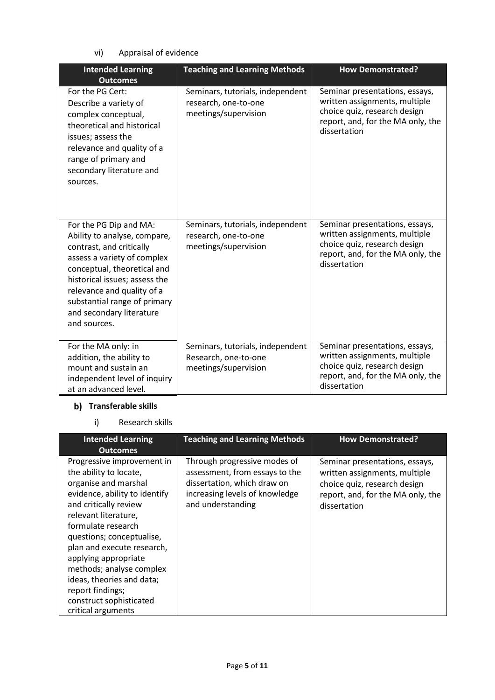vi) Appraisal of evidence

| <b>Intended Learning</b><br><b>Outcomes</b>                                                                                                                                                                                                                                                 | <b>Teaching and Learning Methods</b>                                             | <b>How Demonstrated?</b>                                                                                                                             |
|---------------------------------------------------------------------------------------------------------------------------------------------------------------------------------------------------------------------------------------------------------------------------------------------|----------------------------------------------------------------------------------|------------------------------------------------------------------------------------------------------------------------------------------------------|
| For the PG Cert:<br>Describe a variety of<br>complex conceptual,<br>theoretical and historical<br>issues; assess the<br>relevance and quality of a<br>range of primary and<br>secondary literature and<br>sources.                                                                          | Seminars, tutorials, independent<br>research, one-to-one<br>meetings/supervision | Seminar presentations, essays,<br>written assignments, multiple<br>choice quiz, research design<br>report, and, for the MA only, the<br>dissertation |
| For the PG Dip and MA:<br>Ability to analyse, compare,<br>contrast, and critically<br>assess a variety of complex<br>conceptual, theoretical and<br>historical issues; assess the<br>relevance and quality of a<br>substantial range of primary<br>and secondary literature<br>and sources. | Seminars, tutorials, independent<br>research, one-to-one<br>meetings/supervision | Seminar presentations, essays,<br>written assignments, multiple<br>choice quiz, research design<br>report, and, for the MA only, the<br>dissertation |
| For the MA only: in<br>addition, the ability to<br>mount and sustain an<br>independent level of inquiry<br>at an advanced level.                                                                                                                                                            | Seminars, tutorials, independent<br>Research, one-to-one<br>meetings/supervision | Seminar presentations, essays,<br>written assignments, multiple<br>choice quiz, research design<br>report, and, for the MA only, the<br>dissertation |

# **b)** Transferable skills

i) Research skills

| <b>Intended Learning</b><br><b>Outcomes</b>                                                                                                                                                                                                                                                                                                                                                           | <b>Teaching and Learning Methods</b>                                                                                                                 | <b>How Demonstrated?</b>                                                                                                                             |
|-------------------------------------------------------------------------------------------------------------------------------------------------------------------------------------------------------------------------------------------------------------------------------------------------------------------------------------------------------------------------------------------------------|------------------------------------------------------------------------------------------------------------------------------------------------------|------------------------------------------------------------------------------------------------------------------------------------------------------|
| Progressive improvement in<br>the ability to locate,<br>organise and marshal<br>evidence, ability to identify<br>and critically review<br>relevant literature,<br>formulate research<br>questions; conceptualise,<br>plan and execute research,<br>applying appropriate<br>methods; analyse complex<br>ideas, theories and data;<br>report findings;<br>construct sophisticated<br>critical arguments | Through progressive modes of<br>assessment, from essays to the<br>dissertation, which draw on<br>increasing levels of knowledge<br>and understanding | Seminar presentations, essays,<br>written assignments, multiple<br>choice quiz, research design<br>report, and, for the MA only, the<br>dissertation |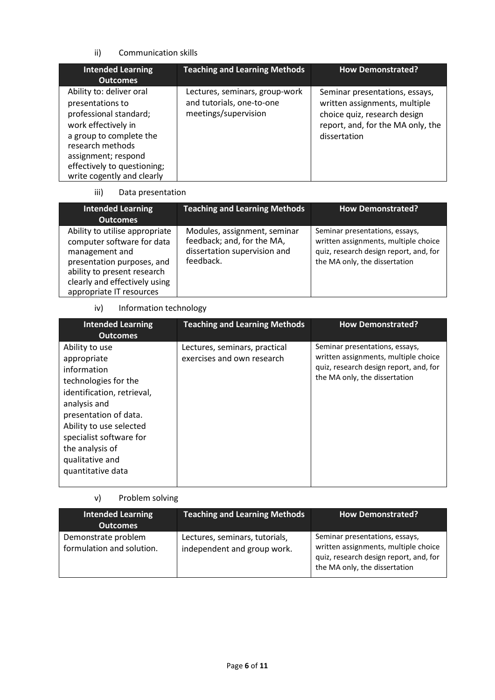### ii) Communication skills

| <b>Intended Learning</b><br><b>Outcomes</b>                                                                                                                                                                                      | <b>Teaching and Learning Methods</b>                                                | <b>How Demonstrated?</b>                                                                                                                             |
|----------------------------------------------------------------------------------------------------------------------------------------------------------------------------------------------------------------------------------|-------------------------------------------------------------------------------------|------------------------------------------------------------------------------------------------------------------------------------------------------|
| Ability to: deliver oral<br>presentations to<br>professional standard;<br>work effectively in<br>a group to complete the<br>research methods<br>assignment; respond<br>effectively to questioning;<br>write cogently and clearly | Lectures, seminars, group-work<br>and tutorials, one-to-one<br>meetings/supervision | Seminar presentations, essays,<br>written assignments, multiple<br>choice quiz, research design<br>report, and, for the MA only, the<br>dissertation |

#### iii) Data presentation

| <b>Intended Learning</b><br>Outcomes                                                                                                                                                                     | <b>Teaching and Learning Methods</b>                                                                    | <b>How Demonstrated?</b>                                                                                                                          |
|----------------------------------------------------------------------------------------------------------------------------------------------------------------------------------------------------------|---------------------------------------------------------------------------------------------------------|---------------------------------------------------------------------------------------------------------------------------------------------------|
| Ability to utilise appropriate<br>computer software for data<br>management and<br>presentation purposes, and<br>ability to present research<br>clearly and effectively using<br>appropriate IT resources | Modules, assignment, seminar<br>feedback; and, for the MA,<br>dissertation supervision and<br>feedback. | Seminar presentations, essays,<br>written assignments, multiple choice<br>quiz, research design report, and, for<br>the MA only, the dissertation |

## iv) Information technology

| <b>Intended Learning</b><br><b>Outcomes</b>                                                                                                                                                                                                                  | <b>Teaching and Learning Methods</b>                        | <b>How Demonstrated?</b>                                                                                                                          |
|--------------------------------------------------------------------------------------------------------------------------------------------------------------------------------------------------------------------------------------------------------------|-------------------------------------------------------------|---------------------------------------------------------------------------------------------------------------------------------------------------|
| Ability to use<br>appropriate<br>information<br>technologies for the<br>identification, retrieval,<br>analysis and<br>presentation of data.<br>Ability to use selected<br>specialist software for<br>the analysis of<br>qualitative and<br>quantitative data | Lectures, seminars, practical<br>exercises and own research | Seminar presentations, essays,<br>written assignments, multiple choice<br>quiz, research design report, and, for<br>the MA only, the dissertation |

## v) Problem solving

| <b>Intended Learning</b><br><b>Outcomes</b>      | <b>Teaching and Learning Methods</b>                          | <b>How Demonstrated?</b>                                                                                                                          |
|--------------------------------------------------|---------------------------------------------------------------|---------------------------------------------------------------------------------------------------------------------------------------------------|
| Demonstrate problem<br>formulation and solution. | Lectures, seminars, tutorials,<br>independent and group work. | Seminar presentations, essays,<br>written assignments, multiple choice<br>quiz, research design report, and, for<br>the MA only, the dissertation |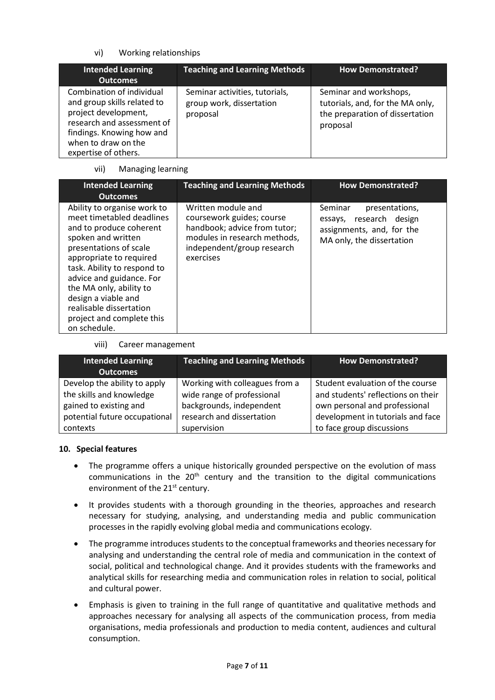## vi) Working relationships

| <b>Intended Learning</b><br><b>Outcomes</b>                                                                                                                                                | <b>Teaching and Learning Methods</b>                                   | <b>How Demonstrated?</b>                                                                                  |
|--------------------------------------------------------------------------------------------------------------------------------------------------------------------------------------------|------------------------------------------------------------------------|-----------------------------------------------------------------------------------------------------------|
| Combination of individual<br>and group skills related to<br>project development,<br>research and assessment of<br>findings. Knowing how and<br>when to draw on the<br>expertise of others. | Seminar activities, tutorials,<br>group work, dissertation<br>proposal | Seminar and workshops,<br>tutorials, and, for the MA only,<br>the preparation of dissertation<br>proposal |

### vii) Managing learning

| <b>Intended Learning</b><br><b>Outcomes</b>                                                                                                                                                                                                                                                                                                         | <b>Teaching and Learning Methods</b>                                                                                                                       | <b>How Demonstrated?</b>                                                                                       |
|-----------------------------------------------------------------------------------------------------------------------------------------------------------------------------------------------------------------------------------------------------------------------------------------------------------------------------------------------------|------------------------------------------------------------------------------------------------------------------------------------------------------------|----------------------------------------------------------------------------------------------------------------|
| Ability to organise work to<br>meet timetabled deadlines<br>and to produce coherent<br>spoken and written<br>presentations of scale<br>appropriate to required<br>task. Ability to respond to<br>advice and guidance. For<br>the MA only, ability to<br>design a viable and<br>realisable dissertation<br>project and complete this<br>on schedule. | Written module and<br>coursework guides; course<br>handbook; advice from tutor;<br>modules in research methods,<br>independent/group research<br>exercises | Seminar<br>presentations,<br>essays, research design<br>assignments, and, for the<br>MA only, the dissertation |

#### viii) Career management

| <b>Intended Learning</b><br><b>Outcomes</b> | <b>Teaching and Learning Methods</b> | <b>How Demonstrated?</b>           |
|---------------------------------------------|--------------------------------------|------------------------------------|
| Develop the ability to apply                | Working with colleagues from a       | Student evaluation of the course   |
| the skills and knowledge                    | wide range of professional           | and students' reflections on their |
| gained to existing and                      | backgrounds, independent             | own personal and professional      |
| potential future occupational               | research and dissertation            | development in tutorials and face  |
| contexts                                    | supervision                          | to face group discussions          |

#### **10. Special features**

- The programme offers a unique historically grounded perspective on the evolution of mass communications in the  $20<sup>th</sup>$  century and the transition to the digital communications environment of the 21<sup>st</sup> century.
- It provides students with a thorough grounding in the theories, approaches and research necessary for studying, analysing, and understanding media and public communication processes in the rapidly evolving global media and communications ecology.
- The programme introduces students to the conceptual frameworks and theories necessary for analysing and understanding the central role of media and communication in the context of social, political and technological change. And it provides students with the frameworks and analytical skills for researching media and communication roles in relation to social, political and cultural power.
- Emphasis is given to training in the full range of quantitative and qualitative methods and approaches necessary for analysing all aspects of the communication process, from media organisations, media professionals and production to media content, audiences and cultural consumption.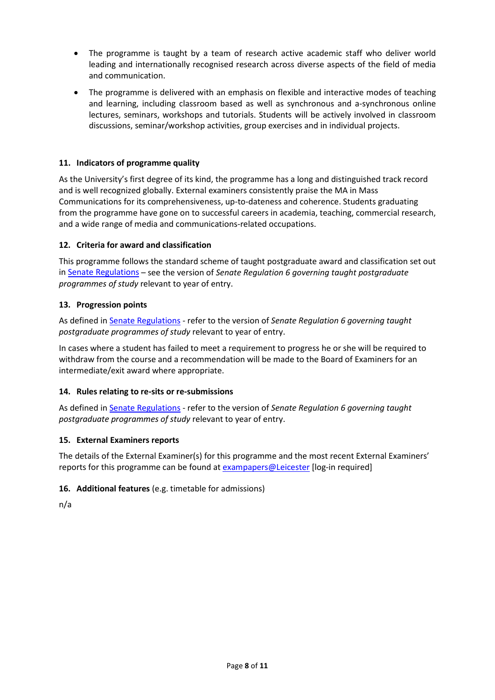- The programme is taught by a team of research active academic staff who deliver world leading and internationally recognised research across diverse aspects of the field of media and communication.
- The programme is delivered with an emphasis on flexible and interactive modes of teaching and learning, including classroom based as well as synchronous and a-synchronous online lectures, seminars, workshops and tutorials. Students will be actively involved in classroom discussions, seminar/workshop activities, group exercises and in individual projects.

## **11. Indicators of programme quality**

As the University's first degree of its kind, the programme has a long and distinguished track record and is well recognized globally. External examiners consistently praise the MA in Mass Communications for its comprehensiveness, up-to-dateness and coherence. Students graduating from the programme have gone on to successful careers in academia, teaching, commercial research, and a wide range of media and communications-related occupations.

### **12. Criteria for award and classification**

This programme follows the standard scheme of taught postgraduate award and classification set out i[n Senate Regulations](http://www.le.ac.uk/senate-regulations) – see the version of *Senate Regulation 6 governing taught postgraduate programmes of study* relevant to year of entry.

## **13. Progression points**

As defined i[n Senate Regulations](http://www.le.ac.uk/senate-regulation6) - refer to the version of *Senate Regulation 6 governing taught postgraduate programmes of study* relevant to year of entry.

In cases where a student has failed to meet a requirement to progress he or she will be required to withdraw from the course and a recommendation will be made to the Board of Examiners for an intermediate/exit award where appropriate.

### **14. Rules relating to re-sits or re-submissions**

As defined i[n Senate Regulations](http://www.le.ac.uk/senate-regulation6) - refer to the version of *Senate Regulation 6 governing taught postgraduate programmes of study* relevant to year of entry.

### **15. External Examiners reports**

The details of the External Examiner(s) for this programme and the most recent External Examiners' reports for this programme can be found at **exampapers@Leicester** [log-in required]

### **16. Additional features** (e.g. timetable for admissions)

n/a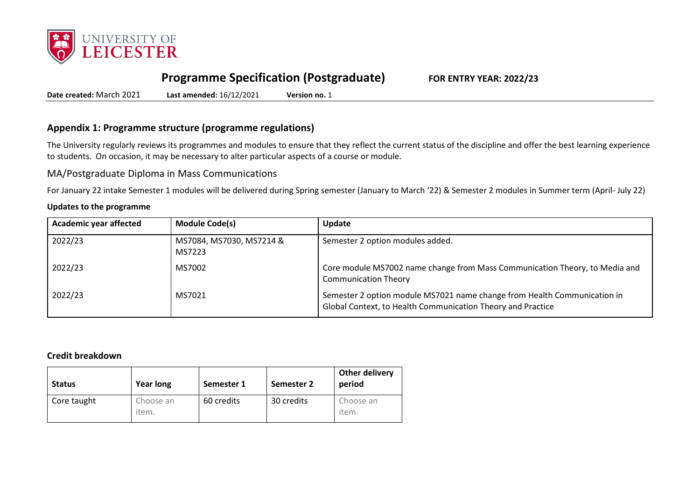

# **Programme Specification (Postgraduate) FOR ENTRY YEAR: 2022/23**

**Date created:** March 2021 **Last amended:** 16/12/2021 **Version no.** 1

## **Appendix 1: Programme structure (programme regulations)**

The University regularly reviews its programmes and modules to ensure that they reflect the current status of the discipline and offer the best learning experience to students. On occasion, it may be necessary to alter particular aspects of a course or module.

MA/Postgraduate Diploma in Mass Communications

For January 22 intake Semester 1 modules will be delivered during Spring semester (January to March '22) & Semester 2 modules in Summer term (April- July 22)

#### **Updates to the programme**

| <b>Academic year affected</b> | <b>Module Code(s)</b>              | Update                                                                                                                                  |
|-------------------------------|------------------------------------|-----------------------------------------------------------------------------------------------------------------------------------------|
| 2022/23                       | MS7084, MS7030, MS7214 &<br>MS7223 | Semester 2 option modules added.                                                                                                        |
| 2022/23                       | MS7002                             | Core module MS7002 name change from Mass Communication Theory, to Media and<br><b>Communication Theory</b>                              |
| 2022/23                       | MS7021                             | Semester 2 option module MS7021 name change from Health Communication in<br>Global Context, to Health Communication Theory and Practice |

#### **Credit breakdown**

| <b>Status</b> | <b>Year long</b>   | Semester 1 | Semester 2 | <b>Other delivery</b><br>period |
|---------------|--------------------|------------|------------|---------------------------------|
| Core taught   | Choose an<br>item. | 60 credits | 30 credits | Choose an<br>item.              |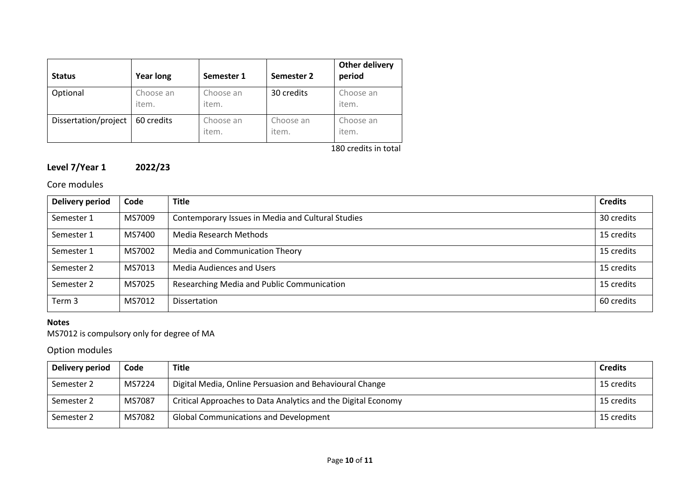| <b>Status</b>        | <b>Year long</b>   | Semester 1         | Semester 2         | <b>Other delivery</b><br>period |
|----------------------|--------------------|--------------------|--------------------|---------------------------------|
| Optional             | Choose an<br>item. | Choose an<br>item. | 30 credits         | Choose an<br>item.              |
| Dissertation/project | 60 credits         | Choose an<br>item. | Choose an<br>item. | Choose an<br>item.              |

180 credits in total

# **Level 7/Year 1 2022/23**

## Core modules

| Delivery period | Code   | <b>Title</b>                                      | <b>Credits</b> |
|-----------------|--------|---------------------------------------------------|----------------|
| Semester 1      | MS7009 | Contemporary Issues in Media and Cultural Studies | 30 credits     |
| Semester 1      | MS7400 | Media Research Methods                            | 15 credits     |
| Semester 1      | MS7002 | Media and Communication Theory                    | 15 credits     |
| Semester 2      | MS7013 | <b>Media Audiences and Users</b>                  | 15 credits     |
| Semester 2      | MS7025 | Researching Media and Public Communication        | 15 credits     |
| Term 3          | MS7012 | <b>Dissertation</b>                               | 60 credits     |

## **Notes**

MS7012 is compulsory only for degree of MA

# Option modules

| Delivery period | Code   | <b>Title</b>                                                  | <b>Credits</b> |
|-----------------|--------|---------------------------------------------------------------|----------------|
| Semester 2      | MS7224 | Digital Media, Online Persuasion and Behavioural Change       | 15 credits     |
| Semester 2      | MS7087 | Critical Approaches to Data Analytics and the Digital Economy | 15 credits     |
| Semester 2      | MS7082 | <b>Global Communications and Development</b>                  | 15 credits     |